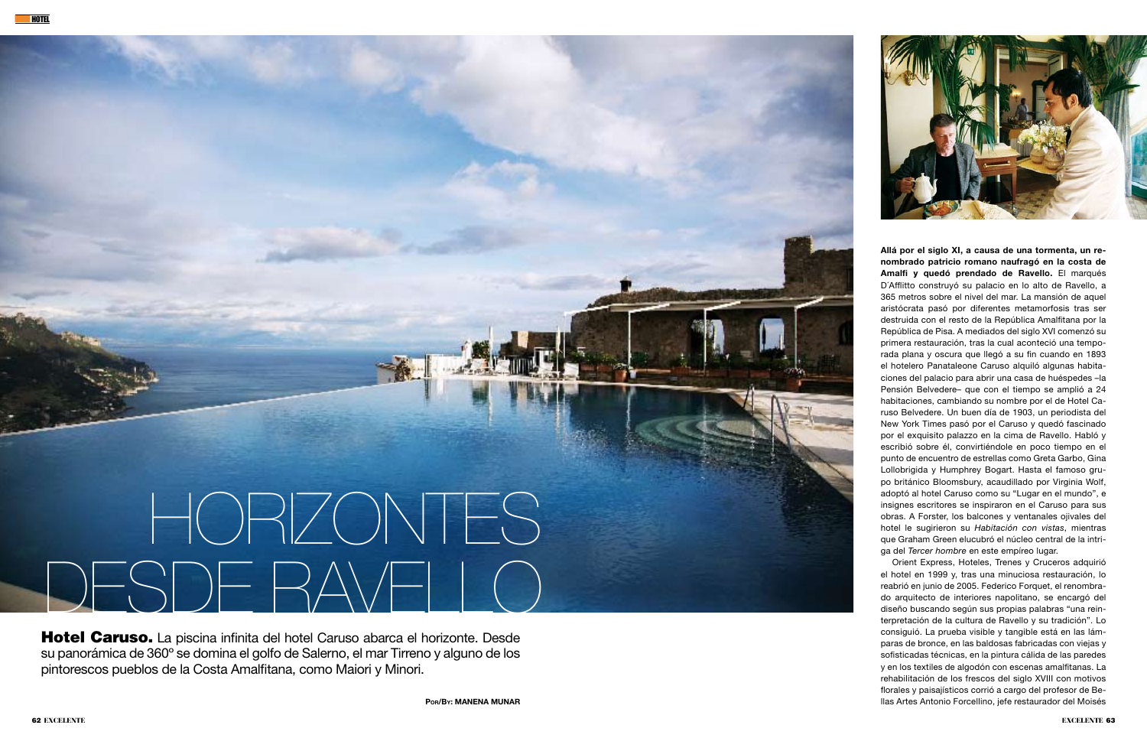



Hotel Caruso. La piscina infinita del hotel Caruso abarca el horizonte. Desde su panorámica de 360º se domina el golfo de Salerno, el mar Tirreno y alguno de los pintorescos pueblos de la Costa Amalfitana, como Maiori y Minori.

Por/By: Manena Munar

Allá por el siglo XI, a causa de una tormenta, un renombrado patricio romano naufragó en la costa de Amalfi y quedó prendado de Ravello. El marqués D´Afflitto construyó su palacio en lo alto de Ravello, a 365 metros sobre el nivel del mar. La mansión de aquel aristócrata pasó por diferentes metamorfosis tras ser destruida con el resto de la República Amalfitana por la República de Pisa. A mediados del siglo XVI comenzó su primera restauración, tras la cual aconteció una temporada plana y oscura que llegó a su fin cuando en 1893 el hotelero Panataleone Caruso alquiló algunas habitaciones del palacio para abrir una casa de huéspedes –la Pensión Belvedere– que con el tiempo se amplió a 24 habitaciones, cambiando su nombre por el de Hotel Caruso Belvedere. Un buen día de 1903, un periodista del New York Times pasó por el Caruso y quedó fascinado por el exquisito palazzo en la cima de Ravello. Habló y escribió sobre él, convirtiéndole en poco tiempo en el punto de encuentro de estrellas como Greta Garbo, Gina Lollobrigida y Humphrey Bogart. Hasta el famoso grupo británico Bloomsbury, acaudillado por Virginia Wolf, adoptó al hotel Caruso como su "Lugar en el mundo", e insignes escritores se inspiraron en el Caruso para sus obras. A Forster, los balcones y ventanales ojivales del hotel le sugirieron su *Habitación con vistas*, mientras que Graham Green elucubró el núcleo central de la intriga del *Tercer hombre* en este empíreo lugar.

Orient Express, Hoteles, Trenes y Cruceros adquirió el hotel en 1999 y, tras una minuciosa restauración, lo reabrió en junio de 2005. Federico Forquet, el renombrado arquitecto de interiores napolitano, se encargó del diseño buscando según sus propias palabras "una reinterpretación de la cultura de Ravello y su tradición". Lo consiguió. La prueba visible y tangible está en las lámparas de bronce, en las baldosas fabricadas con viejas y sofisticadas técnicas, en la pintura cálida de las paredes y en los textiles de algodón con escenas amalfitanas. La rehabilitación de los frescos del siglo XVIII con motivos florales y paisajísticos corrió a cargo del profesor de Bellas Artes Antonio Forcellino, jefe restaurador del Moisés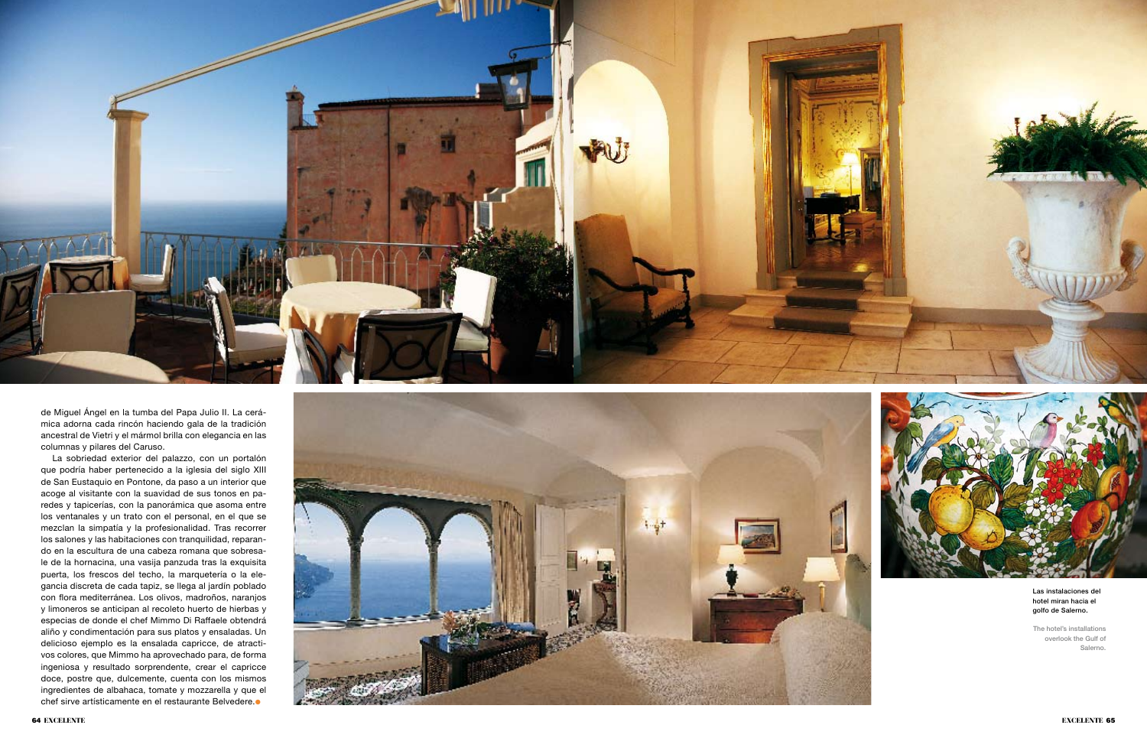

de Miguel Ángel en la tumba del Papa Julio II. La cerá mica adorna cada rincón haciendo gala de la tradición ancestral de Vietri y el mármol brilla con elegancia en las columnas y pilares del Caruso.

La sobriedad exterior del palazzo, con un portalón que podría haber pertenecido a la iglesia del siglo XIII de San Eustaquio en Pontone, da paso a un interior que acoge al visitante con la suavidad de sus tonos en pa redes y tapicerías, con la panorámica que asoma entre los ventanales y un trato con el personal, en el que se mezclan la simpatía y la profesionalidad. Tras recorrer los salones y las habitaciones con tranquilidad, reparan do en la escultura de una cabeza romana que sobresa le de la hornacina, una vasija panzuda tras la exquisita puerta, los frescos del techo, la marquetería o la ele gancia discreta de cada tapiz, se llega al jardín poblado con flora mediterránea. Los olivos, madroños, naranjos y limoneros se anticipan al recoleto huerto de hierbas y especias de donde el chef Mimmo Di Raffaele obtendrá aliño y condimentación para sus platos y ensaladas. Un delicioso ejemplo es la ensalada capricce, de atracti vos colores, que Mimmo ha aprovechado para, de forma ingeniosa y resultado sorprendente, crear el capricce doce, postre que, dulcemente, cuenta con los mismos ingredientes de albahaca, tomate y mozzarella y que el chef sirve artísticamente en el restaurante Belvedere. ●





## Las instalaciones del hotel miran hacia el golfo de Salerno.

The hotel's installations overlook the Gulf of Salerno.